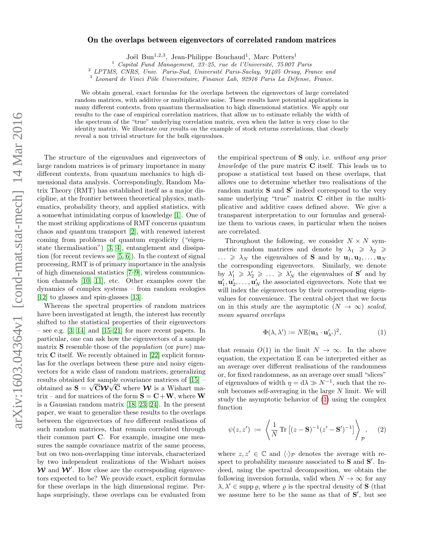## On the overlaps between eigenvectors of correlated random matrices

Joël Bun<sup>1,2,3</sup>, Jean-Philippe Bouchaud<sup>1</sup>, Marc Potters<sup>1</sup>

 $1$  Capital Fund Management, 23-25, rue de l'Université, 75 007 Paris

<sup>2</sup> LPTMS, CNRS, Univ. Paris-Sud, Université Paris-Saclay, 91405 Orsay, France and

 $3$  Leonard de Vinci Pôle Universitaire, Finance Lab, 92916 Paris La Défense, France.

We obtain general, exact formulas for the overlaps between the eigenvectors of large correlated random matrices, with additive or multiplicative noise. These results have potential applications in many different contexts, from quantum thermalisation to high dimensional statistics. We apply our results to the case of empirical correlation matrices, that allow us to estimate reliably the width of the spectrum of the "true" underlying correlation matrix, even when the latter is very close to the identity matrix. We illustrate our results on the example of stock returns correlations, that clearly reveal a non trivial structure for the bulk eigenvalues.

The structure of the eigenvalues and eigenvectors of large random matrices is of primary importance in many different contexts, from quantum mechanics to high dimensional data analysis. Correspondingly, Random Matrix Theory (RMT) has established itself as a major discipline, at the frontier between theoretical physics, mathematics, probability theory, and applied statistics, with a somewhat intimidating corpus of knowledge [\[1\]](#page-3-0). One of the most striking applications of RMT concerns quantum chaos and quantum transport [\[2\]](#page-3-1), with renewed interest coming from problems of quantum ergodicity ("eigenstate thermalisation") [\[3,](#page-3-2) [4\]](#page-3-3), entanglement and dissipation (for recent reviews see [\[5,](#page-3-4) [6\]](#page-3-5)). In the context of signal processing, RMT is of primary importance in the analysis of high dimensional statistics [\[7](#page-3-6)[–9\]](#page-3-7), wireless communication channels [\[10,](#page-3-8) [11\]](#page-3-9), etc. Other examples cover the dynamics of complex systems – from random ecologies [\[12\]](#page-3-10) to glasses and spin-glasses [\[13\]](#page-3-11).

Whereas the spectral properties of random matrices have been investigated at length, the interest has recently shifted to the statistical properties of their eigenvectors – see e.g.  $[3, 14]$  $[3, 14]$  and  $[15–21]$  $[15–21]$  for more recent papers. In particular, one can ask how the eigenvectors of a sample matrix S resemble those of the population (or pure) matrix C itself. We recently obtained in [\[22\]](#page-4-1) explicit formulas for the overlaps between these pure and noisy eigenvectors for a wide class of random matrices, generalizing results obtained for sample covariance matrices of [\[15\]](#page-3-13) – obtained as  $S = \sqrt{C}W\sqrt{C}$  where  $W$  is a Wishart matrix – and for matrices of the form  $S = C + W$ , where W is a Gaussian random matrix [\[18,](#page-4-2) [23,](#page-4-3) [24\]](#page-4-4). In the present paper, we want to generalize these results to the overlaps between the eigenvectors of two different realisations of such random matrices, that remain correlated through their common part C. For example, imagine one measures the sample covariance matrix of the same process, but on two non-overlapping time intervals, characterized by two independent realizations of the Wishart noises  $\mathcal{W}$  and  $\mathcal{W}'$ . How close are the corresponding eigenvectors expected to be? We provide exact, explicit formulas for these overlaps in the high dimensional regime. Perhaps surprisingly, these overlaps can be evaluated from

the empirical spectrum of S only, i.e. without any prior knowledge of the pure matrix  $C$  itself. This leads us to propose a statistical test based on these overlaps, that allows one to determine whether two realisations of the random matrix  $S$  and  $S'$  indeed correspond to the very same underlying "true" matrix C either in the multiplicative and additive cases defined above. We give a transparent interpretation to our formulas and generalize them to various cases, in particular when the noises are correlated.

Throughout the following, we consider  $N \times N$  symmetric random matrices and denote by  $\lambda_1 \geq \lambda_2 \geq$  $\ldots \geq \lambda_N$  the eigenvalues of **S** and by  $\mathbf{u}_1, \mathbf{u}_2, \ldots, \mathbf{u}_N$ the corresponding eigenvectors. Similarly, we denote by  $\lambda'_1 \geq \lambda'_2 \geq \ldots \geq \lambda'_N$  the eigenvalues of **S'** and by  $\mathbf{u}'_1, \mathbf{u}'_2, \dots, \mathbf{u}'_N$  the associated eigenvectors. Note that we will index the eigenvectors by their corresponding eigenvalues for convenience. The central object that we focus on in this study are the asymptotic  $(N \to \infty)$  scaled, mean squared overlaps

<span id="page-0-0"></span>
$$
\Phi(\lambda, \lambda') := N \mathbb{E}(\mathbf{u}_{\lambda} \cdot \mathbf{u}'_{\lambda'})^2, \tag{1}
$$

that remain  $O(1)$  in the limit  $N \to \infty$ . In the above equation, the expectation  $E$  can be interpreted either as an average over different realisations of the randomness or, for fixed randomness, as an average over small "slices" of eigenvalues of width  $\eta = d\lambda \gg N^{-1}$ , such that the result becomes self-averaging in the large  $N$  limit. We will study the asymptotic behavior of [\(1\)](#page-0-0) using the complex function

<span id="page-0-1"></span>
$$
\psi(z, z') := \left\langle \frac{1}{N} \operatorname{Tr} \left[ (z - \mathbf{S})^{-1} (z' - \mathbf{S}')^{-1} \right] \right\rangle_{\mathcal{P}}, \quad (2)
$$

where  $z, z' \in \mathbb{C}$  and  $\langle \cdot \rangle_{\mathcal{P}}$  denotes the average with respect to probability measure associated to  $S$  and  $S'$ . Indeed, using the spectral decomposition, we obtain the following inversion formula, valid when  $N \to \infty$  for any  $\lambda, \lambda' \in \text{supp }\rho$ , where  $\rho$  is the spectral density of **S** (that we assume here to be the same as that of  $S'$ , but see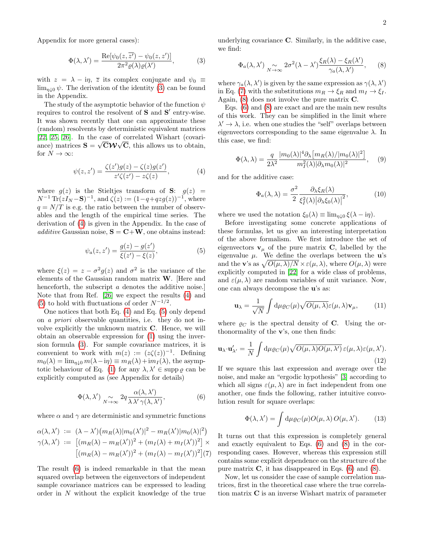Appendix for more general cases):

<span id="page-1-0"></span>
$$
\Phi(\lambda, \lambda') = \frac{\operatorname{Re}[\psi_0(z, \overline{z'}) - \psi_0(z, z')] }{2\pi^2 \varrho(\lambda)\varrho(\lambda')},\tag{3}
$$

with  $z = \lambda - i\eta$ ,  $\overline{z}$  its complex conjugate and  $\psi_0 \equiv$  $\lim_{n\downarrow 0} \psi$ . The derivation of the identity [\(3\)](#page-1-0) can be found in the Appendix.

The study of the asymptotic behavior of the function  $\psi$ requires to control the resolvent of  $S$  and  $S'$  entry-wise. It was shown recently that one can approximate these (random) resolvents by deterministic equivalent matrices [\[22,](#page-4-1) [25,](#page-4-5) [26\]](#page-4-6). In the case of correlated Wishart (covariance) matrices  $\mathbf{S} = \sqrt{\mathbf{C}\mathbf{W}}\sqrt{\mathbf{C}}$ , this allows us to obtain, for  $N \to \infty$ :

<span id="page-1-1"></span>
$$
\psi(z, z') = \frac{\zeta(z')g(z) - \zeta(z)g(z')}{z'\zeta(z') - z\zeta(z)},
$$
\n(4)

where  $g(z)$  is the Stieltjes transform of S:  $g(z)$  =  $N^{-1} \text{Tr}(zI_N - S)^{-1}$ , and  $\zeta(z) := (1 - q + qzg(z))^{-1}$ , where  $q = N/T$  is e.g. the ratio between the number of observables and the length of the empirical time series. The derivation of [\(4\)](#page-1-1) is given in the Appendix. In the case of additive Gaussian noise,  $S = C+W$ , one obtains instead:

<span id="page-1-2"></span>
$$
\psi_a(z, z') = \frac{g(z) - g(z')}{\xi(z') - \xi(z)},\tag{5}
$$

where  $\xi(z) = z - \sigma^2 g(z)$  and  $\sigma^2$  is the variance of the elements of the Gaussian random matrix W. [Here and henceforth, the subscript a denotes the additive noise. Note that from Ref. [\[26\]](#page-4-6) we expect the results [\(4\)](#page-1-1) and [\(5\)](#page-1-2) to hold with fluctuations of order  $N^{-1/2}$ .

One notices that both Eq. [\(4\)](#page-1-1) and Eq. [\(5\)](#page-1-2) only depend on a priori observable quantities, i.e. they do not involve explicitly the unknown matrix C. Hence, we will obtain an observable expression for [\(1\)](#page-0-0) using the inversion formula [\(3\)](#page-1-0). For sample covariance matrices, it is convenient to work with  $m(z) := (z\zeta(z))^{-1}$ . Defining  $m_0(\lambda) = \lim_{n \downarrow 0} m(\lambda - i\eta) \equiv m_R(\lambda) + i m_I(\lambda)$ , the asymp-totic behaviour of Eq. [\(1\)](#page-0-0) for any  $\lambda, \lambda' \in \text{supp } \varrho$  can be explicitly computed as (see Appendix for details)

<span id="page-1-3"></span>
$$
\Phi(\lambda, \lambda') \underset{N \to \infty}{\sim} 2q \frac{\alpha(\lambda, \lambda')}{\lambda \lambda' \gamma(\lambda, \lambda')},
$$
\n(6)

where  $\alpha$  and  $\gamma$  are deterministic and symmetric functions

<span id="page-1-4"></span>
$$
\alpha(\lambda, \lambda') := (\lambda - \lambda') \big( m_R(\lambda) |m_0(\lambda')|^2 - m_R(\lambda') |m_0(\lambda)|^2 \big)
$$
  

$$
\gamma(\lambda, \lambda') := \big[ (m_R(\lambda) - m_R(\lambda'))^2 + (m_I(\lambda) + m_I(\lambda'))^2 \big] \times \big[ (m_R(\lambda) - m_R(\lambda'))^2 + (m_I(\lambda) - m_I(\lambda'))^2 \big] (7)
$$

The result [\(6\)](#page-1-3) is indeed remarkable in that the mean squared overlap between the eigenvectors of independent sample covariance matrices can be expressed to leading order in N without the explicit knowledge of the true underlying covariance C. Similarly, in the additive case, we find:

<span id="page-1-5"></span>
$$
\Phi_a(\lambda, \lambda') \underset{N \to \infty}{\sim} 2\sigma^2(\lambda - \lambda') \frac{\xi_R(\lambda) - \xi_R(\lambda')}{\gamma_a(\lambda, \lambda')}, \qquad (8)
$$

where  $\gamma_a(\lambda, \lambda')$  is given by the same expression as  $\gamma(\lambda, \lambda')$ in Eq. [\(7\)](#page-1-4) with the substitutions  $m_R \to \xi_R$  and  $m_I \to \xi_I$ . Again,  $(8)$  does not involve the pure matrix  $C$ .

Eqs. [\(6\)](#page-1-3) and [\(8\)](#page-1-5) are exact and are the main new results of this work. They can be simplified in the limit where  $\lambda' \rightarrow \lambda$ , i.e. when one studies the "self" overlaps between eigenvectors corresponding to the same eigenvalue  $\lambda$ . In this case, we find:

<span id="page-1-8"></span>
$$
\Phi(\lambda,\lambda) = \frac{q}{2\lambda^2} \frac{|m_0(\lambda)|^4 \partial_\lambda \left[m_R(\lambda)/|m_0(\lambda)|^2\right]}{m_I^2(\lambda)|\partial_\lambda m_0(\lambda)|^2},\tag{9}
$$

and for the additive case:

<span id="page-1-7"></span>
$$
\Phi_a(\lambda, \lambda) = \frac{\sigma^2}{2} \frac{\partial_\lambda \xi_R(\lambda)}{\xi_I^2(\lambda) |\partial_\lambda \xi_0(\lambda)|^2},\tag{10}
$$

where we used the notation  $\xi_0(\lambda) \equiv \lim_{\eta \downarrow 0} \xi(\lambda - i\eta)$ .

Before investigating some concrete applications of these formulas, let us give an interesting interpretation of the above formalism. We first introduce the set of eigenvectors  $v_{\mu}$  of the pure matrix **C**, labelled by the eigenvalue  $\mu$ . We define the overlaps between the **u**'s and the **v**'s as  $\sqrt{O(\mu, \lambda)/N} \times \varepsilon(\mu, \lambda)$ , where  $O(\mu, \lambda)$  were explicitly computed in [\[22\]](#page-4-1) for a wide class of problems, and  $\varepsilon(\mu, \lambda)$  are random variables of unit variance. Now, one can always decompose the u's as:

$$
\mathbf{u}_{\lambda} = \frac{1}{\sqrt{N}} \int d\mu \varrho_{C}(\mu) \sqrt{O(\mu, \lambda)} \varepsilon(\mu, \lambda) \mathbf{v}_{\mu}, \qquad (11)
$$

where  $\rho_C$  is the spectral density of C. Using the orthonormality of the v's, one then finds:

$$
\mathbf{u}_{\lambda} \cdot \mathbf{u}'_{\lambda'} = \frac{1}{N} \int d\mu \varrho_C(\mu) \sqrt{O(\mu, \lambda)O(\mu, \lambda')} \,\varepsilon(\mu, \lambda) \varepsilon(\mu, \lambda').
$$
\n(12)

If we square this last expression and average over the noise, and make an "ergodic hypothesis" [\[3\]](#page-3-2) according to which all signs  $\varepsilon(\mu, \lambda)$  are in fact independent from one another, one finds the following, rather intuitive convolution result for square overlaps:

<span id="page-1-6"></span>
$$
\Phi(\lambda, \lambda') = \int d\mu \varrho_C(\mu) O(\mu, \lambda) O(\mu, \lambda'). \tag{13}
$$

It turns out that this expression is completely general and exactly equivalent to Eqs. [\(6\)](#page-1-3) and [\(8\)](#page-1-5) in the corresponding cases. However, whereas this expression still contains some explicit dependence on the structure of the pure matrix  $C$ , it has disappeared in Eqs. [\(6\)](#page-1-3) and [\(8\)](#page-1-5).

Now, let us consider the case of sample correlation matrices, first in the theoretical case where the true correlation matrix C is an inverse Wishart matrix of parameter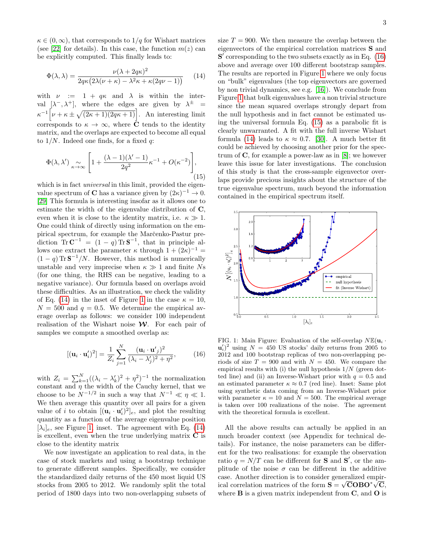$\kappa \in (0,\infty)$ , that corresponds to  $1/q$  for Wishart matrices (see [\[22\]](#page-4-1) for details). In this case, the function  $m(z)$  can be explicitly computed. This finally leads to:

<span id="page-2-0"></span>
$$
\Phi(\lambda, \lambda) = \frac{\nu(\lambda + 2q\kappa)^2}{2q\kappa(2\lambda(\nu + \kappa) - \lambda^2\kappa + \kappa(2q\nu - 1))}
$$
(14)

with  $\nu := 1 + q\kappa$  and  $\lambda$  is within the interval  $[\lambda^-, \lambda^+]$ , where the edges are given by  $\lambda^{\pm}$  =  $\kappa^{-1} \left[ \nu + \kappa \pm \sqrt{(2\kappa + 1)(2q\kappa + 1)} \right]$ . An interesting limit corresponds to  $\kappa \to \infty$ , where  $\dot{\mathbf{C}}$  tends to the identity matrix, and the overlaps are expected to become all equal to  $1/N$ . Indeed one finds, for a fixed q:

<span id="page-2-3"></span>
$$
\Phi(\lambda, \lambda') \underset{\kappa \to \infty}{\sim} \left[ 1 + \frac{(\lambda - 1)(\lambda' - 1)}{2q^2} \kappa^{-1} + O(\kappa^{-2}) \right],
$$
\n(15)

which is in fact *universal* in this limit, provided the eigenvalue spectrum of **C** has a variance given by  $(2\kappa)^{-1} \to 0$ . [\[29\]](#page-4-7) This formula is interesting insofar as it allows one to estimate the width of the eigenvalue distribution of C, even when it is close to the identity matrix, i.e.  $\kappa \gg 1$ . One could think of directly using information on the empirical spectrum, for example the Marc̆enko-Pastur prediction  $\text{Tr} \, \mathbf{C}^{-1} = (1-q) \text{Tr} \, \mathbf{S}^{-1}$ , that in principle allows one extract the parameter  $\kappa$  through  $1 + (2\kappa)^{-1} =$  $(1 - q)$  Tr  $\mathbf{S}^{-1}/N$ . However, this method is numerically unstable and very imprecise when  $\kappa \gg 1$  and finite Ns (for one thing, the RHS can be negative, leading to a negative variance). Our formula based on overlaps avoid these difficulties. As an illustration, we check the validity of Eq. [\(14\)](#page-2-0) in the inset of Figure [1](#page-2-1) in the case  $\kappa = 10$ ,  $N = 500$  and  $q = 0.5$ . We determine the empirical average overlap as follows: we consider 100 independent realisation of the Wishart noise  $\mathcal W$ . For each pair of samples we compute a smoothed overlap as:

<span id="page-2-2"></span>
$$
[(\mathbf{u}_i \cdot \mathbf{u}_i')^2] = \frac{1}{Z_i} \sum_{j=1}^N \frac{(\mathbf{u}_i \cdot \mathbf{u}_j')^2}{(\lambda_i - \lambda_j')^2 + \eta^2},
$$
(16)

with  $Z_i = \sum_{k=1}^{N} ((\lambda_i - \lambda'_k)^2 + \eta^2)^{-1}$  the normalization constant and  $\eta$  the width of the Cauchy kernel, that we choose to be  $N^{-1/2}$  in such a way that  $N^{-1} \ll \eta \ll 1$ . We then average this quantity over all pairs for a given value of *i* to obtain  $[(\mathbf{u}_i \cdot \mathbf{u}'_i)^2]_e$ , and plot the resulting quantity as a function of the average eigenvalue position  $[\lambda_i]_e$ , see Figure [1,](#page-2-1) inset. The agreement with Eq. [\(14\)](#page-2-0) is excellent, even when the true underlying matrix  $C$  is close to the identity matrix

We now investigate an application to real data, in the case of stock markets and using a bootstrap technique to generate different samples. Specifically, we consider the standardized daily returns of the 450 most liquid US stocks from 2005 to 2012. We randomly split the total period of 1800 days into two non-overlapping subsets of size  $T = 900$ . We then measure the overlap between the eigenvectors of the empirical correlation matrices S and  $S'$  corresponding to the two subsets exactly as in Eq.  $(16)$ above and average over 100 different bootstrap samples. The results are reported in Figure [1](#page-2-1) where we only focus on "bulk" eigenvalues (the top eigenvectors are governed by non trivial dynamics, see e.g. [\[16\]](#page-3-14)). We conclude from Figure [1](#page-2-1) that bulk eigenvalues have a non trivial structure since the mean squared overlaps strongly depart from the null hypothesis and in fact cannot be estimated using the universal formula Eq. [\(15\)](#page-2-3) as a parabolic fit is clearly unwarranted. A fit with the full inverse Wishart formula [\(14\)](#page-2-0) leads to  $\kappa \approx 0.7$ . [\[30\]](#page-4-8). A much better fit could be achieved by choosing another prior for the spectrum of  $C$ , for example a power-law as in [\[8\]](#page-3-15); we however leave this issue for later investigations. The conclusion of this study is that the cross-sample eigenvector overlaps provide precious insights about the structure of the true eigenvalue spectrum, much beyond the information contained in the empirical spectrum itself.



<span id="page-2-1"></span>FIG. 1: Main Figure: Evaluation of the self-overlap  $N\mathbb{E}(\mathbf{u}_i \cdot$  $\mathbf{u}'_i$ <sup>2</sup> using  $N = 450$  US stocks' daily returns from 2005 to 2012 and 100 bootstrap replicas of two non-overlapping periods of size  $T = 900$  and with  $N = 450$ . We compare the empirical results with (i) the null hypothesis  $1/N$  (green dotted line) and (ii) an Inverse-Wishart prior with  $q = 0.5$  and an estimated parameter  $\kappa \approx 0.7$  (red line). Inset: Same plot using synthetic data coming from an Inverse-Wishart prior with parameter  $\kappa = 10$  and  $N = 500$ . The empirical average is taken over 100 realizations of the noise. The agreement with the theoretical formula is excellent.

All the above results can actually be applied in an much broader context (see Appendix for technical details). For instance, the noise parameters can be different for the two realisations: for example the observation ratio  $q = N/T$  can be different for **S** and **S'**, or the amplitude of the noise  $\sigma$  can be different in the additive case. Another direction is to consider generalized empircase. Another direction is to consider generalized empir-<br>ical correlation matrices of the form  $S = \sqrt{C}OBO^*\sqrt{C}$ , where  $\bf{B}$  is a given matrix independent from  $\bf{C}$ , and  $\bf{O}$  is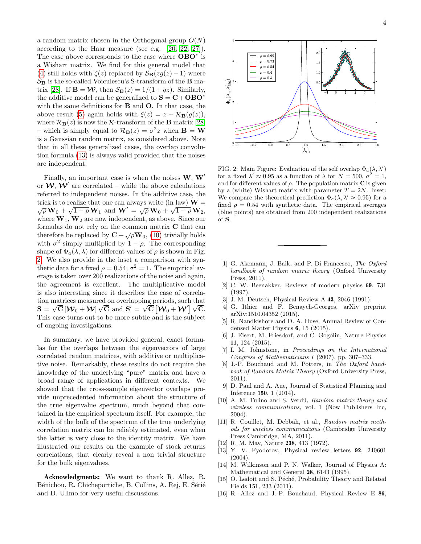a random matrix chosen in the Orthogonal group  $O(N)$ according to the Haar measure (see e.g. [\[20,](#page-4-9) [22,](#page-4-1) [27\]](#page-4-10)). The case above corresponds to the case where OBO<sup>∗</sup> is a Wishart matrix. We find for this general model that [\(4\)](#page-1-1) still holds with  $\zeta(z)$  replaced by  $\mathcal{S}_{\mathbf{B}}(zg(z)-1)$  where  $S_B$  is the so-called Voiculescu's S-transform of the **B** ma-trix [\[28\]](#page-4-11). If  $\mathbf{B} = \mathbf{\mathcal{W}}$ , then  $\mathcal{S}_{\mathbf{B}}(z) = 1/(1 + qz)$ . Similarly, the additive model can be generalized to  $S = C + OBO^*$ with the same definitions for B and O. In that case, the above result [\(5\)](#page-1-2) again holds with  $\xi(z) = z - \mathcal{R}_{\mathbf{B}}(g(z)),$ where  $\mathcal{R}_{\mathbf{B}}(z)$  is now the R-transform of the **B** matrix [\[28\]](#page-4-11) – which is simply equal to  $\mathcal{R}_{\mathbf{B}}(z) = \sigma^2 z$  when  $\mathbf{B} = \mathbf{W}$ is a Gaussian random matrix, as considered above. Note that in all these generalized cases, the overlap convolution formula [\(13\)](#page-1-6) is always valid provided that the noises are independent.

Finally, an important case is when the noises  $W, W'$ or  $W, W'$  are correlated – while the above calculations referred to independent noises. In the additive case, the trick is to realize that one can always write (in law)  $\mathbf{W} = \sqrt{\rho} \mathbf{W}_0 + \sqrt{1 - \rho} \mathbf{W}_1$  and  $\mathbf{W}' = \sqrt{\rho} \mathbf{W}_0 + \sqrt{1 - \rho} \mathbf{W}_2$ ,  $\frac{1}{4}$   $\frac{1}{4}$   $\frac{1}{4}$   $\frac{1}{4}$   $\frac{1}{4}$   $\frac{1}{4}$   $\frac{1}{4}$   $\frac{1}{4}$   $\frac{1}{4}$   $\frac{1}{4}$   $\frac{1}{4}$   $\frac{1}{4}$   $\frac{1}{4}$   $\frac{1}{4}$   $\frac{1}{4}$   $\frac{1}{4}$   $\frac{1}{4}$   $\frac{1}{4}$   $\frac{1}{4}$   $\frac{1}{4}$   $\frac{1}{4}$   $\frac{1}{4}$  where  $W_1, W_2$  are now independent, as above. Since our formulas do not rely on the common matrix C that can therefore be replaced by  $\mathbf{C} + \sqrt{\rho} \mathbf{W}_0$ , [\(10\)](#page-1-7) trivially holds with  $\sigma^2$  simply multiplied by  $1 - \rho$ . The corresponding shape of  $\Phi_a(\lambda, \lambda)$  for different values of  $\rho$  is shown in Fig. [2.](#page-3-16) We also provide in the inset a comparison with synthetic data for a fixed  $\rho = 0.54$ ,  $\sigma^2 = 1$ . The empirical average is taken over 200 realizations of the noise and again, the agreement is excellent. The multiplicative model is also interesting since it describes the case of correlation matrices measured on overlapping periods, such that tion matrices measured on overlapping periods, such that  $\mathbf{S} = \sqrt{\mathbf{C}} \left[ \boldsymbol{\mathcal{W}}_0 + \boldsymbol{\mathcal{W}} \right] \sqrt{\mathbf{C}} \text{ and } \mathbf{S}' = \sqrt{\mathbf{C}} \left[ \boldsymbol{\mathcal{W}}_0 + \boldsymbol{\mathcal{W}}' \right] \sqrt{\mathbf{C}}.$ This case turns out to be more subtle and is the subject of ongoing investigations.

In summary, we have provided general, exact formulas for the overlaps between the eigenvectors of large correlated random matrices, with additive or multiplicative noise. Remarkably, these results do not require the knowledge of the underlying "pure" matrix and have a broad range of applications in different contexts. We showed that the cross-sample eigenvector overlaps provide unprecedented information about the structure of the true eigenvalue spectrum, much beyond that contained in the empirical spectrum itself. For example, the width of the bulk of the spectrum of the true underlying correlation matrix can be reliably estimated, even when the latter is very close to the identity matrix. We have illustrated our results on the example of stock returns correlations, that clearly reveal a non trivial structure for the bulk eigenvalues.

Acknowledgments: We want to thank R. Allez, R. Bénichou, R. Chicheportiche, B. Collins, A. Rej, E. Sérié and D. Ullmo for very useful discussions.



<span id="page-3-16"></span>FIG. 2: Main Figure: Evaluation of the self overlap  $\Phi_a(\lambda, \lambda')$ for a fixed  $\lambda' \approx 0.95$  as a function of  $\lambda$  for  $N = 500, \sigma^2 = 1$ , and for different values of  $\rho$ . The population matrix **C** is given by a (white) Wishart matrix with parameter  $T = 2N$ . Inset: We compare the theoretical prediction  $\Phi_a(\lambda, \lambda' \approx 0.95)$  for a fixed  $\rho = 0.54$  with synthetic data. The empirical averages (blue points) are obtained from 200 independent realizations of S.

- <span id="page-3-0"></span>[1] G. Akemann, J. Baik, and P. Di Francesco, The Oxford handbook of random matrix theory (Oxford University Press, 2011).
- <span id="page-3-1"></span>[2] C. W. Beenakker, Reviews of modern physics 69, 731 (1997).
- <span id="page-3-2"></span>[3] J. M. Deutsch, Physical Review A 43, 2046 (1991).
- <span id="page-3-3"></span>[4] G. Ithier and F. Benaych-Georges, arXiv preprint arXiv:1510.04352 (2015).
- <span id="page-3-4"></span>[5] R. Nandkishore and D. A. Huse, Annual Review of Condensed Matter Physics 6, 15 (2015).
- <span id="page-3-5"></span>[6] J. Eisert, M. Friesdorf, and C. Gogolin, Nature Physics 11, 124 (2015).
- <span id="page-3-6"></span>[7] I. M. Johnstone, in Proceedings on the International Congress of Mathematicians I (2007), pp. 307–333.
- <span id="page-3-15"></span>[8] J.-P. Bouchaud and M. Potters, in The Oxford handbook of Random Matrix Theory (Oxford University Press, 2011).
- <span id="page-3-7"></span>[9] D. Paul and A. Aue, Journal of Statistical Planning and Inference 150, 1 (2014).
- <span id="page-3-8"></span>[10] A. M. Tulino and S. Verdú, Random matrix theory and wireless communications, vol. 1 (Now Publishers Inc, 2004).
- <span id="page-3-9"></span>[11] R. Couillet, M. Debbah, et al., Random matrix methods for wireless communications (Cambridge University Press Cambridge, MA, 2011).
- <span id="page-3-10"></span>[12] R. M. May, Nature 238, 413 (1972).
- <span id="page-3-11"></span>[13] Y. V. Fyodorov, Physical review letters 92, 240601 (2004).
- <span id="page-3-12"></span>[14] M. Wilkinson and P. N. Walker, Journal of Physics A: Mathematical and General 28, 6143 (1995).
- <span id="page-3-13"></span>[15] O. Ledoit and S. Péché, Probability Theory and Related Fields 151, 233 (2011).
- <span id="page-3-14"></span>[16] R. Allez and J.-P. Bouchaud, Physical Review E 86,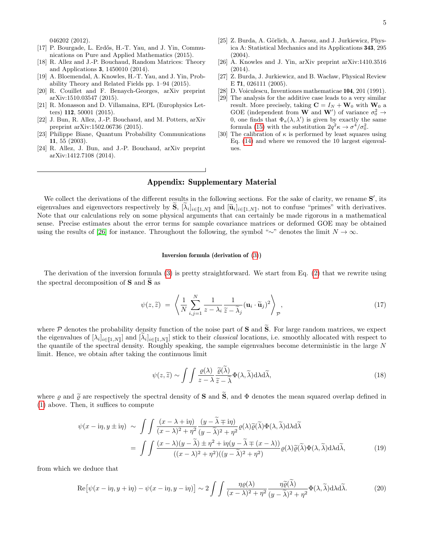- [17] P. Bourgade, L. Erdős, H.-T. Yau, and J. Yin, Communications on Pure and Applied Mathematics (2015).
- <span id="page-4-2"></span>[18] R. Allez and J.-P. Bouchaud, Random Matrices: Theory and Applications 3, 1450010 (2014).
- [19] A. Bloemendal, A. Knowles, H.-T. Yau, and J. Yin, Probability Theory and Related Fields pp. 1–94 (2015).
- <span id="page-4-9"></span>[20] R. Couillet and F. Benaych-Georges, arXiv preprint arXiv:1510.03547 (2015).
- <span id="page-4-0"></span>[21] R. Monasson and D. Villamaina, EPL (Europhysics Letters) 112, 50001 (2015).
- <span id="page-4-1"></span>[22] J. Bun, R. Allez, J.-P. Bouchaud, and M. Potters, arXiv preprint arXiv:1502.06736 (2015).
- <span id="page-4-3"></span>[23] Philippe Biane, Quantum Probability Communications 11, 55 (2003).
- <span id="page-4-4"></span>[24] R. Allez, J. Bun, and J.-P. Bouchaud, arXiv preprint arXiv:1412.7108 (2014).
- <span id="page-4-5"></span>[25] Z. Burda, A. Görlich, A. Jarosz, and J. Jurkiewicz, Physica A: Statistical Mechanics and its Applications 343, 295 (2004).
- <span id="page-4-6"></span>[26] A. Knowles and J. Yin, arXiv preprint arXiv:1410.3516 (2014).
- <span id="page-4-10"></span>[27] Z. Burda, J. Jurkiewicz, and B. Wacław, Physical Review E 71, 026111 (2005).
- <span id="page-4-11"></span>[28] D. Voiculescu, Inventiones mathematicae 104, 201 (1991).
- <span id="page-4-7"></span>[29] The analysis for the additive case leads to a very similar result. More precisely, taking  $\mathbf{C} = I_N + \mathbf{W}_0$  with  $\mathbf{W}_0$  a GOE (independent from **W** and **W**') of variance  $\sigma_0^2 \rightarrow$ 0, one finds that  $\Phi_a(\lambda, \lambda')$  is given by exactly the same formula [\(15\)](#page-2-3) with the substitution  $2q^2\kappa \rightarrow \sigma^4/\sigma_0^2$ .
- <span id="page-4-8"></span>[30] The calibration of  $\kappa$  is performed by least squares using Eq. [\(14\)](#page-2-0) and where we removed the 10 largest eigenvalues.

# Appendix: Supplementary Material

We collect the derivations of the different results in the following sections. For the sake of clarity, we rename  $S'$ , its eigenvalues and eigenvectors respectively by  $S$ ,  $[\lambda_i]_{i \in [\![1,N]\!]}$  and  $[\tilde{u}_i]_{i \in [\![1,N]\!]}$ , not to confuse "primes" with derivatives.<br>Note that our calculations rely on some physical arguments that can certainly be mad Note that our calculations rely on some physical arguments that can certainly be made rigorous in a mathematical sense. Precise estimates about the error terms for sample covariance matrices or deformed GOE may be obtained using the results of [\[26\]](#page-4-6) for instance. Throughout the following, the symbol "∼" denotes the limit  $N \to \infty$ .

#### Inversion formula (derivation of [\(3\)](#page-1-0))

The derivation of the inversion formula [\(3\)](#page-1-0) is pretty straightforward. We start from Eq. [\(2\)](#page-0-1) that we rewrite using the spectral decomposition of  $S$  and  $\widetilde{S}$  as

$$
\psi(z,\widetilde{z}) = \left\langle \frac{1}{N} \sum_{i,j=1}^{N} \frac{1}{z - \lambda_i} \frac{1}{\widetilde{z} - \widetilde{\lambda}_j} (\mathbf{u}_i \cdot \widetilde{\mathbf{u}}_j)^2 \right\rangle_{\mathcal{P}},
$$
\n(17)

where  $P$  denotes the probability density function of the noise part of S and  $\tilde{S}$ . For large random matrices, we expect the eigenvalues of  $[\lambda_i]_{i\in[\![1,N]\!]}$  and  $[\lambda_i]_{i\in[\![1,N]\!]}$  stick to their *classical* locations, i.e. smoothly allocated with respect to the quantile of the spectral density. Roughly speaking, the sample eigenvalues become deterministic in the large N limit. Hence, we obtain after taking the continuous limit

$$
\psi(z,\widetilde{z}) \sim \int \int \frac{\varrho(\lambda)}{z - \lambda} \frac{\widetilde{\varrho}(\lambda)}{\widetilde{z} - \widetilde{\lambda}} \Phi(\lambda, \widetilde{\lambda}) d\lambda d\widetilde{\lambda},\tag{18}
$$

where  $\varrho$  and  $\tilde{\varrho}$  are respectively the spectral density of **S** and  $\tilde{\mathbf{S}}$ , and  $\Phi$  denotes the mean squared overlap defined in [\(1\)](#page-0-0) above. Then, it suffices to compute

$$
\psi(x - i\eta, y \pm i\eta) \sim \int \int \frac{(x - \lambda + i\eta)}{(x - \lambda)^2 + \eta^2} \frac{(y - \tilde{\lambda} \mp i\eta)}{(y - \tilde{\lambda})^2 + \eta^2} \varrho(\lambda) \tilde{\varrho}(\tilde{\lambda}) \Phi(\lambda, \tilde{\lambda}) d\lambda d\tilde{\lambda}
$$

$$
= \int \int \frac{(x - \lambda)(y - \tilde{\lambda}) \pm \eta^2 + i\eta(y - \tilde{\lambda} \mp (x - \lambda))}{((x - \lambda)^2 + \eta^2)((y - \tilde{\lambda})^2 + \eta^2)} \varrho(\lambda) \tilde{\varrho}(\tilde{\lambda}) \Phi(\lambda, \tilde{\lambda}) d\lambda d\tilde{\lambda}, \tag{19}
$$

from which we deduce that

$$
\operatorname{Re}\left[\psi(x-\mathrm{i}\eta,y+\mathrm{i}\eta)-\psi(x-\mathrm{i}\eta,y-\mathrm{i}\eta)\right]\sim 2\int\int\frac{\eta\varrho(\lambda)}{(x-\lambda)^2+\eta^2}\frac{\eta\widetilde{\varrho}(\widetilde{\lambda})}{(y-\widetilde{\lambda})^2+\eta^2}\Phi(\lambda,\widetilde{\lambda})\mathrm{d}\lambda\mathrm{d}\widetilde{\lambda}.\tag{20}
$$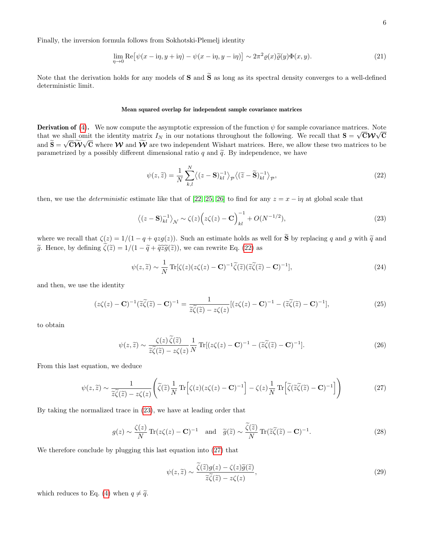Finally, the inversion formula follows from Sokhotski-Plemelj identity

$$
\lim_{\eta \to 0} \text{Re} \big[ \psi(x - \mathrm{i}\eta, y + \mathrm{i}\eta) - \psi(x - \mathrm{i}\eta, y - \mathrm{i}\eta) \big] \sim 2\pi^2 \varrho(x) \widetilde{\varrho}(y) \Phi(x, y). \tag{21}
$$

Note that the derivation holds for any models of  $S$  and  $\tilde{S}$  as long as its spectral density converges to a well-defined deterministic limit.

#### Mean squared overlap for independent sample covariance matrices

**Derivation of** [\(4\)](#page-1-1). We now compute the asymptotic expression of the function  $\psi$  for sample covariance matrices. Note that we shall omit the identity matrix  $I_N$  in our notations throughout the following. We recall that  $S = \sqrt{CW} \sqrt{C}$ and  $S = \sqrt{CW} \sqrt{C}$  where W and W are two independent Wishart matrices. Here, we allow these two matrices to be parametrized by a possibly different dimensional ratio q and  $\tilde{q}$ . By independence, we have

<span id="page-5-0"></span>
$$
\psi(z,\tilde{z}) = \frac{1}{N} \sum_{k,l}^{N} \langle (z - \mathbf{S})^{-1}_{kl} \rangle_{\mathcal{P}} \langle (\tilde{z} - \tilde{\mathbf{S}})^{-1}_{kl} \rangle_{\mathcal{P}},\tag{22}
$$

then, we use the *deterministic* estimate like that of [\[22,](#page-4-1) [25,](#page-4-5) [26\]](#page-4-6) to find for any  $z = x - i\eta$  at global scale that

<span id="page-5-1"></span>
$$
\left\langle (z - \mathbf{S})_{kl}^{-1} \right\rangle_{\mathcal{N}} \sim \zeta(z) \left( z \zeta(z) - \mathbf{C} \right)_{kl}^{-1} + O(N^{-1/2}),\tag{23}
$$

where we recall that  $\zeta(z) = 1/(1 - q + qzg(z))$ . Such an estimate holds as well for  $\tilde{S}$  by replacing q and q with  $\tilde{q}$  and  $\tilde{g}$ . Hence, by defining  $\tilde{\zeta}(\tilde{z}) = 1/(1 - \tilde{q} + \tilde{q}\tilde{z}\tilde{g}(\tilde{z}))$ , we can rewrite Eq. [\(22\)](#page-5-0) as

$$
\psi(z,\tilde{z}) \sim \frac{1}{N} \operatorname{Tr}[\zeta(z)(z\zeta(z) - \mathbf{C})^{-1} \tilde{\zeta}(\tilde{z})(\tilde{z}\tilde{\zeta}(\tilde{z}) - \mathbf{C})^{-1}],\tag{24}
$$

and then, we use the identity

$$
(z\zeta(z) - \mathbf{C})^{-1}(\widetilde{z}\widetilde{\zeta}(\widetilde{z}) - \mathbf{C})^{-1} = \frac{1}{\widetilde{z}\widetilde{\zeta}(\widetilde{z}) - z\zeta(z)}[(z\zeta(z) - \mathbf{C})^{-1} - (\widetilde{z}\widetilde{\zeta}(\widetilde{z}) - \mathbf{C})^{-1}],
$$
\n(25)

to obtain

$$
\psi(z,\tilde{z}) \sim \frac{\zeta(z)\,\tilde{\zeta}(\tilde{z})}{\tilde{z}\tilde{\zeta}(\tilde{z}) - z\zeta(z)} \frac{1}{N} \operatorname{Tr}[(z\zeta(z) - \mathbf{C})^{-1} - (\tilde{z}\tilde{\zeta}(\tilde{z}) - \mathbf{C})^{-1}].\tag{26}
$$

From this last equation, we deduce

<span id="page-5-2"></span>
$$
\psi(z,\tilde{z}) \sim \frac{1}{\tilde{z}\tilde{\zeta}(\tilde{z}) - z\zeta(z)} \left( \tilde{\zeta}(\tilde{z}) \frac{1}{N} \operatorname{Tr} \left[ \zeta(z)(z\zeta(z) - \mathbf{C})^{-1} \right] - \zeta(z) \frac{1}{N} \operatorname{Tr} \left[ \tilde{\zeta}(\tilde{z}\tilde{\zeta}(\tilde{z}) - \mathbf{C})^{-1} \right] \right)
$$
(27)

By taking the normalized trace in [\(23\)](#page-5-1), we have at leading order that

$$
g(z) \sim \frac{\zeta(z)}{N} \operatorname{Tr}(z\zeta(z) - \mathbf{C})^{-1} \quad \text{and} \quad \widetilde{g}(\widetilde{z}) \sim \frac{\widetilde{\zeta}(\widetilde{z})}{N} \operatorname{Tr}(\widetilde{z}\widetilde{\zeta}(\widetilde{z}) - \mathbf{C})^{-1}.
$$
 (28)

We therefore conclude by plugging this last equation into [\(27\)](#page-5-2) that

$$
\psi(z,\tilde{z}) \sim \frac{\tilde{\zeta}(\tilde{z})g(z) - \zeta(z)\tilde{g}(\tilde{z})}{\tilde{z}\tilde{\zeta}(\tilde{z}) - z\zeta(z)},\tag{29}
$$

which reduces to Eq. [\(4\)](#page-1-1) when  $q \neq \tilde{q}$ .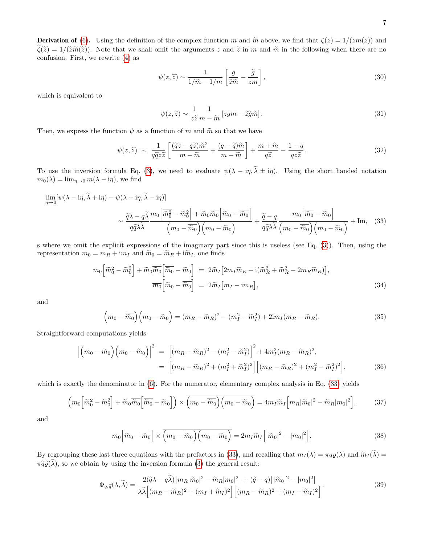**Derivation of** [\(6\)](#page-1-3). Using the definition of the complex function m and  $\tilde{m}$  above, we find that  $\zeta(z) = 1/(zm(z))$  and  $\widetilde{\zeta}(\widetilde{z}) = 1/(\widetilde{z}\widetilde{m}(\widetilde{z}))$ . Note that we shall omit the arguments z and  $\widetilde{z}$  in m and  $\widetilde{m}$  in the following when there are no confusion. First, we rewrite [\(4\)](#page-1-1) as

$$
\psi(z,\tilde{z}) \sim \frac{1}{1/\tilde{m} - 1/m} \left[ \frac{g}{\tilde{z}\tilde{m}} - \frac{\tilde{g}}{zm} \right],\tag{30}
$$

which is equivalent to

<span id="page-6-0"></span>
$$
\psi(z,\tilde{z}) \sim \frac{1}{z\tilde{z}} \frac{1}{m - \tilde{m}} \left[ zgm - \tilde{z}\tilde{g}\tilde{m} \right]. \tag{31}
$$

Then, we express the function  $\psi$  as a function of m and  $\tilde{m}$  so that we have

$$
\psi(z,\tilde{z}) \sim \frac{1}{q\tilde{q}z\tilde{z}} \left[ \frac{(\tilde{q}z - q\tilde{z})\tilde{m}^2}{m - \tilde{m}} + \frac{(q - \tilde{q})\tilde{m}}{m - \tilde{m}} \right] + \frac{m + \tilde{m}}{q\tilde{z}} - \frac{1 - q}{qz\tilde{z}}.
$$
\n(32)

To use the inversion formula Eq. [\(3\)](#page-1-0), we need to evaluate  $\psi(\lambda - i\eta, \tilde{\lambda} \pm i\eta)$ . Using the short handed notation  $m_0(\lambda) = \lim_{\eta \to 0} m(\lambda - i\eta)$ , we find

$$
\lim_{\eta \to 0} [\psi(\lambda - i\eta, \tilde{\lambda} + i\eta) - \psi(\lambda - i\eta, \tilde{\lambda} - i\eta)]
$$
  

$$
\sim \frac{\tilde{q}\lambda - q\tilde{\lambda}}{q\tilde{q}\lambda\tilde{\lambda}} \frac{m_0 \left[\tilde{m}_0^2 - \tilde{m}_0^2\right] + \tilde{m}_0 \overline{\tilde{m}_0} \left[\tilde{m}_0 - \overline{\tilde{m}_0}\right]}{\left(m_0 - \overline{\tilde{m}_0}\right)\left(m_0 - \tilde{m}_0\right)} + \frac{\tilde{q} - q}{q\tilde{q}\lambda\tilde{\lambda}} \frac{m_0 \left[\overline{\tilde{m}_0} - \tilde{m}_0\right]}{\left(m_0 - \overline{\tilde{m}_0}\right)\left(m_0 - \overline{\tilde{m}_0}\right)} + \text{Im}, \quad (33)
$$

s where we omit the explicit expressions of the imaginary part since this is useless (see Eq. [\(3\)](#page-1-0)). Then, using the representation  $m_0 = m_R + im_I$  and  $\tilde{m}_0 = \tilde{m}_R + i\tilde{m}_I$ , one finds

$$
m_0 \left[ \overline{\widetilde{m}_0^2} - \widetilde{m}_0^2 \right] + \widetilde{m}_0 \overline{\widetilde{m}_0} \left[ \overline{\widetilde{m}_0} - \widetilde{m}_0 \right] = 2 \widetilde{m}_I \left[ 2m_I \widetilde{m}_R + i(\widetilde{m}_R^2 + \widetilde{m}_R^2 - 2m_R \widetilde{m}_R) \right],
$$
  

$$
\overline{m_0} \left[ \widetilde{m}_0 - \overline{\widetilde{m}_0} \right] = 2 \widetilde{m}_I \left[ m_I - \mathrm{i} m_R \right],
$$
 (34)

and

$$
\left(m_0 - \overline{\widetilde{m}_0}\right)\left(m_0 - \widetilde{m}_0\right) = \left(m_R - \widetilde{m}_R\right)^2 - \left(m_I^2 - \widetilde{m}_I^2\right) + 2\mathrm{i}m_I(m_R - \widetilde{m}_R). \tag{35}
$$

Straightforward computations yields

$$
\left| \left( m_0 - \overline{\widetilde{m}_0} \right) \left( m_0 - \widetilde{m}_0 \right) \right|^2 = \left[ (m_R - \widetilde{m}_R)^2 - (m_I^2 - \widetilde{m}_I^2) \right]^2 + 4m_I^2 (m_R - \widetilde{m}_R)^2,
$$
  
= 
$$
\left[ (m_R - \widetilde{m}_R)^2 + (m_I^2 + \widetilde{m}_I^2)^2 \right] \left[ (m_R - \widetilde{m}_R)^2 + (m_I^2 - \widetilde{m}_I^2)^2 \right],
$$
 (36)

which is exactly the denominator in  $(6)$ . For the numerator, elementary complex analysis in Eq. [\(33\)](#page-6-0) yields

$$
\left(m_0\left[\overline{\widetilde{m}_0^2}-\widetilde{m}_0^2\right]+\widetilde{m}_0\overline{\widetilde{m}_0}\left[\overline{\widetilde{m}_0}-\widetilde{m}_0\right]\right)\times\overline{\left(m_0-\overline{\widetilde{m}_0}\right)\left(m_0-\widetilde{m}_0\right)}=4m_I\widetilde{m}_I\left[m_R|\widetilde{m}_0|^2-\widetilde{m}_R|m_0|^2\right],\tag{37}
$$

and

$$
m_0 \left[ \overline{\widetilde{m}_0} - \widetilde{m}_0 \right] \times \overline{\left( m_0 - \overline{\widetilde{m}_0} \right) \left( m_0 - \widetilde{m}_0 \right)} = 2m_I \widetilde{m}_I \left[ |\widetilde{m}_0|^2 - |m_0|^2 \right]. \tag{38}
$$

By regrouping these last three equations with the prefactors in [\(33\)](#page-6-0), and recalling that  $m_I(\lambda) = \pi q \rho(\lambda)$  and  $\widetilde{m}_I(\widetilde{\lambda}) =$  $\pi \widetilde{q}\widetilde{\varrho}(\widetilde{\lambda})$ , so we obtain by using the inversion formula [\(3\)](#page-1-0) the general result:

<span id="page-6-1"></span>
$$
\Phi_{q,\tilde{q}}(\lambda,\tilde{\lambda}) = \frac{2(\tilde{q}\lambda - q\tilde{\lambda}) \left[m_R|\tilde{m}_0|^2 - \tilde{m}_R|m_0|^2\right] + (\tilde{q} - q)\left[|\tilde{m}_0|^2 - |m_0|^2\right]}{\lambda\tilde{\lambda}\left[(m_R - \tilde{m}_R)^2 + (m_I + \tilde{m}_I)^2\right] \left[(m_R - \tilde{m}_R)^2 + (m_I - \tilde{m}_I)^2\right]}.
$$
\n(39)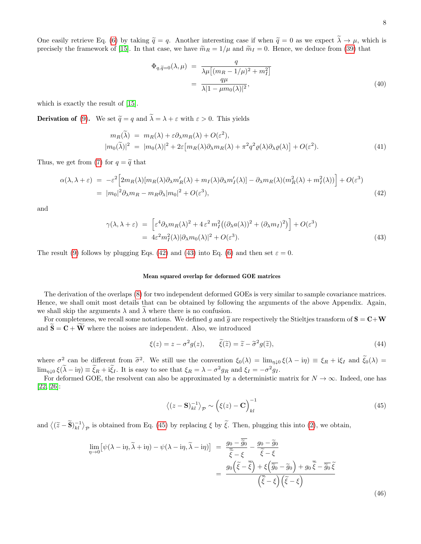One easily retrieve Eq. [\(6\)](#page-1-3) by taking  $\tilde{q} = q$ . Another interesting case if when  $\tilde{q} = 0$  as we expect  $\tilde{\lambda} \to \mu$ , which is precisely the framework of [\[15\]](#page-3-13). In that case, we have  $\tilde{m}_R = 1/\mu$  and  $\tilde{m}_I = 0$ . Hence, we deduce from [\(39\)](#page-6-1) that

$$
\Phi_{q,\tilde{q}=0}(\lambda,\mu) = \frac{q}{\lambda\mu\left[(m_R - 1/\mu)^2 + m_I^2\right]}
$$

$$
= \frac{q\mu}{\lambda|1 - \mu m_0(\lambda)|^2},\tag{40}
$$

which is exactly the result of [\[15\]](#page-3-13).

**Derivation of** [\(9\)](#page-1-8). We set  $\tilde{q} = q$  and  $\tilde{\lambda} = \lambda + \varepsilon$  with  $\varepsilon > 0$ . This yields

$$
m_R(\tilde{\lambda}) = m_R(\lambda) + \varepsilon \partial_{\lambda} m_R(\lambda) + O(\varepsilon^2),
$$
  
\n
$$
|m_0(\tilde{\lambda})|^2 = |m_0(\lambda)|^2 + 2\varepsilon [m_R(\lambda)\partial_{\lambda} m_R(\lambda) + \pi^2 q^2 \varrho(\lambda)\partial_{\lambda} \varrho(\lambda)] + O(\varepsilon^2).
$$
\n(41)

Thus, we get from [\(7\)](#page-1-4) for  $q = \tilde{q}$  that

<span id="page-7-0"></span>
$$
\alpha(\lambda, \lambda + \varepsilon) = -\varepsilon^2 \Big[ 2m_R(\lambda)[m_R(\lambda)\partial_\lambda m_R'(\lambda) + m_I(\lambda)\partial_\lambda m_I'(\lambda)] - \partial_\lambda m_R(\lambda)(m_R^2(\lambda) + m_I^2(\lambda)) \Big] + O(\varepsilon^3)
$$
  
= 
$$
|m_0|^2 \partial_\lambda m_R - m_R \partial_\lambda |m_0|^2 + O(\varepsilon^3),
$$
 (42)

and

<span id="page-7-1"></span>
$$
\gamma(\lambda, \lambda + \varepsilon) = \left[ \varepsilon^4 \partial_{\lambda} m_R(\lambda)^2 + 4 \varepsilon^2 m_I^2 ((\partial_{\lambda} a(\lambda))^2 + (\partial_{\lambda} m_I)^2) \right] + O(\varepsilon^3)
$$
  
=  $4\varepsilon^2 m_I^2(\lambda) |\partial_{\lambda} m_0(\lambda)|^2 + O(\varepsilon^3).$  (43)

The result [\(9\)](#page-1-8) follows by plugging Eqs. [\(42\)](#page-7-0) and [\(43\)](#page-7-1) into Eq. [\(6\)](#page-1-3) and then set  $\varepsilon = 0$ .

### Mean squared overlap for deformed GOE matrices

The derivation of the overlaps [\(8\)](#page-1-5) for two independent deformed GOEs is very similar to sample covariance matrices. Hence, we shall omit most details that can be obtained by following the arguments of the above Appendix. Again, we shall skip the arguments  $\lambda$  and  $\lambda$  where there is no confusion.

For completeness, we recall some notations. We defined g and  $\tilde{g}$  are respectively the Stieltjes transform of  $S = C+W$ and  $\widetilde{\mathbf{S}} = \mathbf{C} + \widetilde{\mathbf{W}}$  where the noises are independent. Also, we introduced

$$
\xi(z) = z - \sigma^2 g(z), \qquad \tilde{\xi}(\tilde{z}) = \tilde{z} - \tilde{\sigma}^2 g(\tilde{z}), \tag{44}
$$

where  $\sigma^2$  can be different from  $\tilde{\sigma}^2$ . We still use the convention  $\xi_0(\lambda) = \lim_{\eta \downarrow 0} \xi(\lambda - i\eta) \equiv \xi_R + i\xi_I$  and  $\tilde{\xi}_0(\lambda) =$  $\lim_{\eta \downarrow 0} \xi(\lambda - i\eta) \equiv \xi_R + i\xi_I$ . It is easy to see that  $\xi_R = \lambda - \sigma^2 g_R$  and  $\xi_I = -\sigma^2 g_I$ .

For deformed GOE, the resolvent can also be approximated by a deterministic matrix for  $N \to \infty$ . Indeed, one has [\[22,](#page-4-1) [26\]](#page-4-6):

<span id="page-7-2"></span>
$$
\left\langle (z - \mathbf{S})_{kl}^{-1} \right\rangle_{\mathcal{P}} \sim \left( \xi(z) - \mathbf{C} \right)_{kl}^{-1}
$$
\n(45)

and  $\langle (\tilde{z}-\tilde{\mathbf{S}})^{-1}_{kl} \rangle_{\mathcal{P}}$  is obtained from Eq. [\(45\)](#page-7-2) by replacing  $\xi$  by  $\tilde{\xi}$ . Then, plugging this into [\(2\)](#page-0-1), we obtain,

<span id="page-7-3"></span>
$$
\lim_{\eta \to 0} \left[ \psi(\lambda - i\eta, \tilde{\lambda} + i\eta) - \psi(\lambda - i\eta, \tilde{\lambda} - i\eta) \right] = \frac{g_0 - \tilde{g}_0}{\tilde{\xi} - \xi} - \frac{g_0 - \tilde{g}_0}{\tilde{\xi} - \xi}
$$
\n
$$
= \frac{g_0(\tilde{\xi} - \tilde{\xi}) + \xi(\tilde{g}_0 - \tilde{g}_0) + g_0 \tilde{\xi} - \tilde{g}_0 \tilde{\xi}}{\left(\tilde{\xi} - \xi\right)\left(\tilde{\xi} - \xi\right)}
$$
\n(46)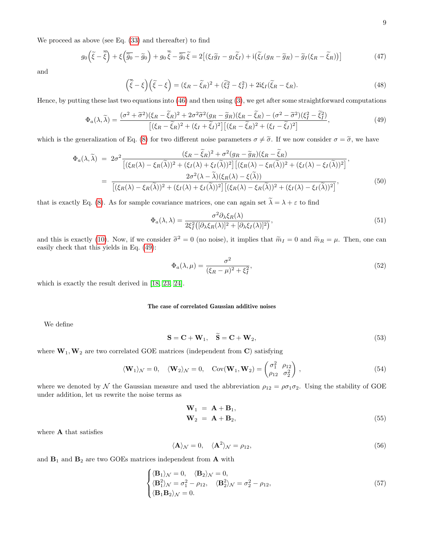We proceed as above (see Eq. [\(33\)](#page-6-0) and thereafter) to find

$$
g_0\left(\tilde{\xi}-\overline{\tilde{\xi}}\right)+\xi\left(\overline{\tilde{g}_0}-\tilde{g}_0\right)+g_0\overline{\tilde{\xi}}-\overline{\tilde{g}_0}\tilde{\xi}=2\left[\left(\xi_I\tilde{g}_I-g_I\tilde{\xi}_I\right)+i\left(\tilde{\xi}_I(g_R-\tilde{g}_R)-\tilde{g}_I(\xi_R-\tilde{\xi}_R)\right)\right]
$$
(47)

and

$$
\left(\overline{\tilde{\xi}} - \xi\right)\left(\tilde{\xi} - \xi\right) = (\xi_R - \tilde{\xi}_R)^2 + (\tilde{\xi}_I^2 - \xi_I^2) + 2i\xi_I(\tilde{\xi}_R - \xi_R). \tag{48}
$$

Hence, by putting these last two equations into [\(46\)](#page-7-3) and then using [\(3\)](#page-1-0), we get after some straightforward computations

<span id="page-8-0"></span>
$$
\Phi_a(\lambda,\tilde{\lambda}) = \frac{(\sigma^2 + \tilde{\sigma}^2)(\xi_R - \tilde{\xi}_R)^2 + 2\sigma^2 \tilde{\sigma}^2 (g_R - \tilde{g}_R)(\xi_R - \tilde{\xi}_R) - (\sigma^2 - \tilde{\sigma}^2)(\xi_I^2 - \tilde{\xi}_I^2)}{[(\xi_R - \tilde{\xi}_R)^2 + (\xi_I + \tilde{\xi}_I)^2][(\xi_R - \tilde{\xi}_R)^2 + (\xi_I - \tilde{\xi}_I)^2]},
$$
\n(49)

which is the generalization of Eq. [\(8\)](#page-1-5) for two different noise parameters  $\sigma \neq \tilde{\sigma}$ . If we now consider  $\sigma = \tilde{\sigma}$ , we have

$$
\Phi_a(\lambda, \tilde{\lambda}) = 2\sigma^2 \frac{(\xi_R - \tilde{\xi}_R)^2 + \sigma^2 (g_R - \tilde{g}_R)(\xi_R - \tilde{\xi}_R)}{\left[ (\xi_R(\lambda) - \xi_R(\tilde{\lambda}))^2 + (\xi_I(\lambda) + \xi_I(\tilde{\lambda}))^2 \right] \left[ (\xi_R(\lambda) - \xi_R(\tilde{\lambda}))^2 + (\xi_I(\lambda) - \xi_I(\tilde{\lambda}))^2 \right]},
$$
\n
$$
= \frac{2\sigma^2(\lambda - \tilde{\lambda})(\xi_R(\lambda) - \xi(\tilde{\lambda}))}{\left[ (\xi_R(\lambda) - \xi_R(\tilde{\lambda}))^2 + (\xi_I(\lambda) + \xi_I(\tilde{\lambda}))^2 \right] \left[ (\xi_R(\lambda) - \xi_R(\tilde{\lambda}))^2 + (\xi_I(\lambda) - \xi_I(\tilde{\lambda}))^2 \right]},
$$
\n(50)

that is exactly Eq. [\(8\)](#page-1-5). As for sample covariance matrices, one can again set  $\tilde{\lambda} = \lambda + \varepsilon$  to find

$$
\Phi_a(\lambda, \lambda) = \frac{\sigma^2 \partial_\lambda \xi_R(\lambda)}{2\xi_I^2 \left( [\partial_\lambda \xi_R(\lambda)]^2 + [\partial_\lambda \xi_I(\lambda)]^2 \right)},\tag{51}
$$

and this is exactly [\(10\)](#page-1-7). Now, if we consider  $\tilde{\sigma}^2 = 0$  (no noise), it implies that  $\tilde{m}_I = 0$  and  $\tilde{m}_R = \mu$ . Then, one can easily check that this yields in Eq. [\(49\)](#page-8-0):

$$
\Phi_a(\lambda,\mu) = \frac{\sigma^2}{(\xi_R - \mu)^2 + \xi_I^2},\tag{52}
$$

which is exactly the result derived in [\[18,](#page-4-2) [23,](#page-4-3) [24\]](#page-4-4).

## The case of correlated Gaussian additive noises

We define

<span id="page-8-3"></span>
$$
\mathbf{S} = \mathbf{C} + \mathbf{W}_1, \quad \mathbf{\hat{S}} = \mathbf{C} + \mathbf{W}_2,\tag{53}
$$

where  $W_1, W_2$  are two correlated GOE matrices (independent from C) satisfying

<span id="page-8-1"></span>
$$
\langle \mathbf{W}_1 \rangle_{\mathcal{N}} = 0, \quad \langle \mathbf{W}_2 \rangle_{\mathcal{N}} = 0, \quad \text{Cov}(\mathbf{W}_1, \mathbf{W}_2) = \begin{pmatrix} \sigma_1^2 & \rho_{12} \\ \rho_{12} & \sigma_2^2 \end{pmatrix}, \tag{54}
$$

where we denoted by N the Gaussian measure and used the abbreviation  $\rho_{12} = \rho \sigma_1 \sigma_2$ . Using the stability of GOE under addition, let us rewrite the noise terms as

<span id="page-8-2"></span>
$$
\mathbf{W}_1 = \mathbf{A} + \mathbf{B}_1, \n\mathbf{W}_2 = \mathbf{A} + \mathbf{B}_2,
$$
\n(55)

where A that satisfies

$$
\langle \mathbf{A} \rangle_{\mathcal{N}} = 0, \quad \langle \mathbf{A}^2 \rangle_{\mathcal{N}} = \rho_{12}, \tag{56}
$$

and  $\mathbf{B}_1$  and  $\mathbf{B}_2$  are two GOEs matrices independent from  $\mathbf{A}$  with

$$
\begin{cases} \langle \mathbf{B}_1 \rangle_{\mathcal{N}} = 0, & \langle \mathbf{B}_2 \rangle_{\mathcal{N}} = 0, \\ \langle \mathbf{B}_1^2 \rangle_{\mathcal{N}} = \sigma_1^2 - \rho_{12}, & \langle \mathbf{B}_2^2 \rangle_{\mathcal{N}} = \sigma_2^2 - \rho_{12}, \\ \langle \mathbf{B}_1 \mathbf{B}_2 \rangle_{\mathcal{N}} = 0. \end{cases} \tag{57}
$$